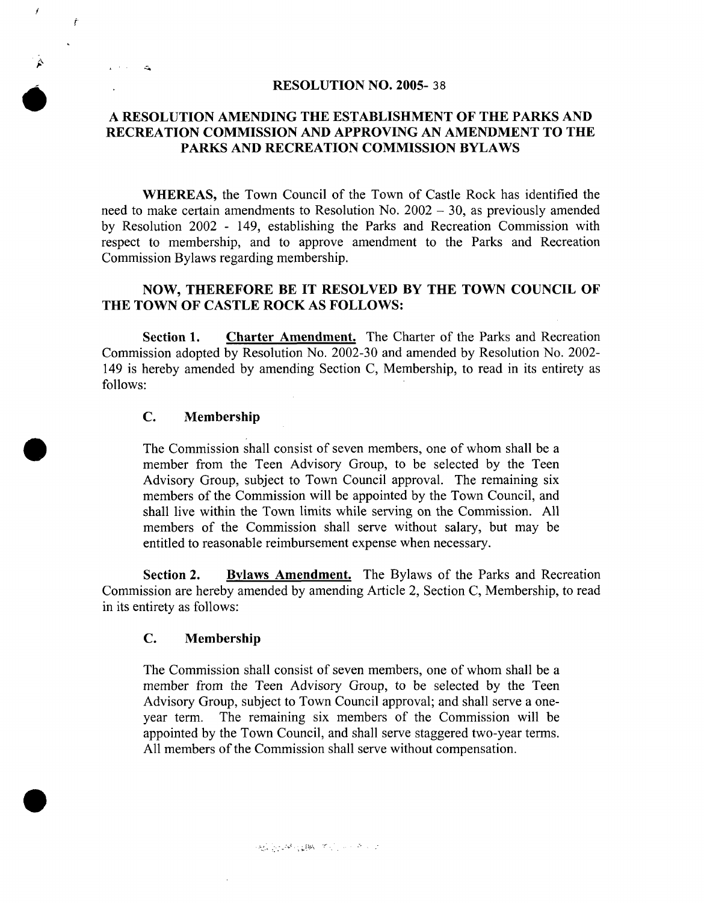### RESOLUTION NO. 2005- 38

## A RESOLUTION AMENDING THE ESTABLISHMENT OF THE PARKS AND RECREATION COMMISSION AND APPROVING AN AMENDMENT TO THE PARKS AND RECREATION COMMISSION BYLAWS

WHEREAS, the Town Council of the Town of Castle Rock has identified the need to make certain amendments to Resolution No.  $2002 - 30$ , as previously amended by Resolution 2002 - 149, establishing the Parks and Recreation Commission with respect to membership, and to approve amendment to the Parks and Recreation Commission Bylaws regarding membership.

# NOW, THEREFORE BE IT RESOLVED BY THE TOWN COUNCIL OF THE TOWN OF CASTLE ROCK AS FOLLOWS:

Section 1. Charter Amendment. The Charter of the Parks and Recreation Commission adopted by Resolution No. 2002-30 and amended by Resolution No. 2002- 149 is hereby amended by amending Section C, Membership, to read in its entirety as follows:

### C. Membership

j

Ť

 $\ddot{\phantom{a}}$ 

The Commission shall consist of seven members, one of whom shall be a member from the Teen Advisory Group, to be selected by the Teen Advisory Group, subject to Town Council approval. The remaining six members of the Commission will be appointed by the Town Council, and shall live within the Town limits while serving on the Commission. All members of the Commission shall serve without salary, but may be entitled to reasonable reimbursement expense when necessary.

Section 2. Bylaws Amendment. The Bylaws of the Parks and Recreation Commission are hereby amended by amending Article 2, Section C, Membership, to read in its entirety as follows:

# C. Membership

The Commission shall consist of seven members, one of whom shall be a member from the Teen Advisory Group, to be selected by the Teen Advisory Group, subject to Town Council approval; and shall serve a oneyear term. The remaining six members of the Commission will be appointed by the Town Council, and shall serve staggered two-year terms. All members of the Commission shall serve without compensation.

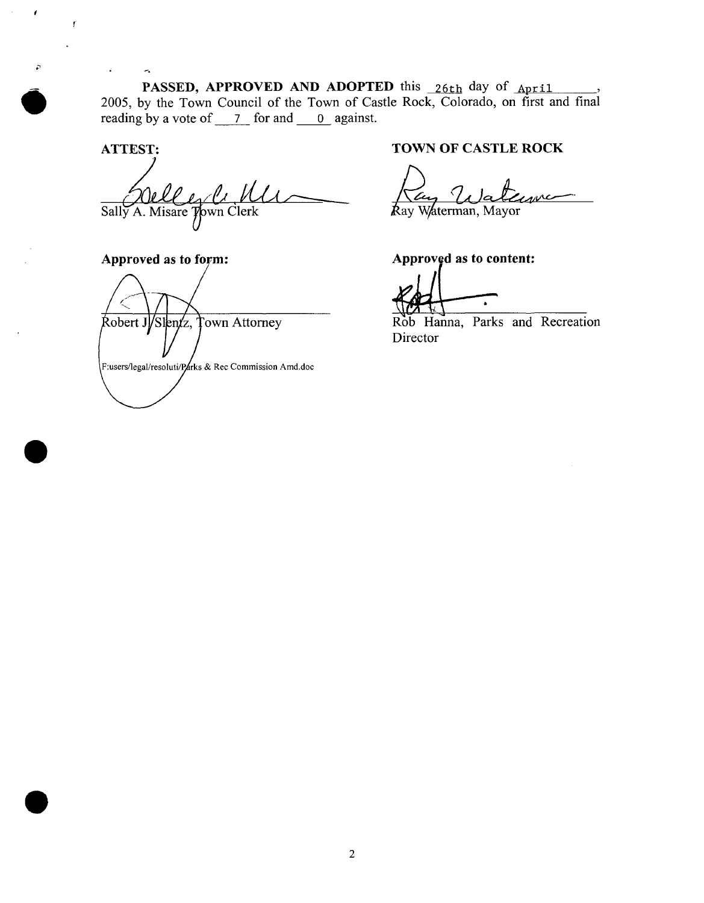PASSED, APPROVED AND ADOPTED this 196th day of <sub>April</sub> 2005, by the Town Council of the Town of Castle Rock, Colorado, on first and final reading by a vote of  $\overline{7}$  for and  $\overline{0}$  against.

ATTEST:

Ÿ,

 $\epsilon$ 

 $\mathbf{r}$ 

Sally A. Misare Town Clerk

Approved as to form:

Robert J/Slentz, Town Attorney

F:users/legal/resoluti/Rarks & Rec Commission Amd.doc

# TOWN OF CASTLE ROCK

**Ray Waterman**, Mayor

Approved as to content

Rob Hanna, Parks and Recreation Director